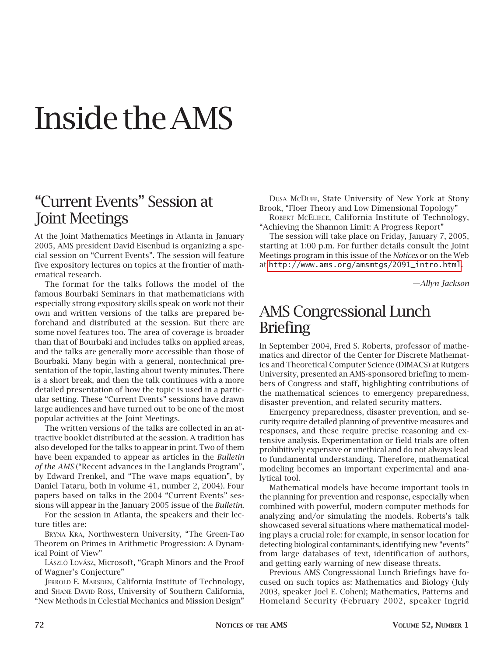# Inside the AMS

## "Current Events" Session at Joint Meetings

At the Joint Mathematics Meetings in Atlanta in January 2005, AMS president David Eisenbud is organizing a special session on "Current Events". The session will feature five expository lectures on topics at the frontier of mathematical research.

The format for the talks follows the model of the famous Bourbaki Seminars in that mathematicians with especially strong expository skills speak on work not their own and written versions of the talks are prepared beforehand and distributed at the session. But there are some novel features too. The area of coverage is broader than that of Bourbaki and includes talks on applied areas, and the talks are generally more accessible than those of Bourbaki. Many begin with a general, nontechnical presentation of the topic, lasting about twenty minutes. There is a short break, and then the talk continues with a more detailed presentation of how the topic is used in a particular setting. These "Current Events" sessions have drawn large audiences and have turned out to be one of the most popular activities at the Joint Meetings.

The written versions of the talks are collected in an attractive booklet distributed at the session. A tradition has also developed for the talks to appear in print. Two of them have been expanded to appear as articles in the *Bulletin of the AMS* ("Recent advances in the Langlands Program", by Edward Frenkel, and "The wave maps equation", by Daniel Tataru, both in volume 41, number 2, 2004). Four papers based on talks in the 2004 "Current Events" sessions will appear in the January 2005 issue of the *Bulletin*.

For the session in Atlanta, the speakers and their lecture titles are:

BRYNA KRA, Northwestern University, "The Green-Tao Theorem on Primes in Arithmetic Progression: A Dynamical Point of View"

LÁSZLÓ LOVÁSZ, Microsoft, "Graph Minors and the Proof of Wagner's Conjecture"

JERROLD E. MARSDEN, California Institute of Technology, and SHANE DAVID ROSS, University of Southern California, "New Methods in Celestial Mechanics and Mission Design"

DUSA MCDUFF, State University of New York at Stony Brook, "Floer Theory and Low Dimensional Topology"

ROBERT MCELIECE, California Institute of Technology, "Achieving the Shannon Limit: A Progress Report"

The session will take place on Friday, January 7, 2005, starting at 1:00 p.m. For further details consult the Joint Meetings program in this issue of the *Notices* or on the Web at [http://www.ams.org/amsmtgs/2091\\_intro.html](http://www.ams.org/amsmtgs/2091_intro.html).

*—Allyn Jackson*

#### AMS Congressional Lunch **Briefing**

In September 2004, Fred S. Roberts, professor of mathematics and director of the Center for Discrete Mathematics and Theoretical Computer Science (DIMACS) at Rutgers University, presented an AMS-sponsored briefing to members of Congress and staff, highlighting contributions of the mathematical sciences to emergency preparedness, disaster prevention, and related security matters.

Emergency preparedness, disaster prevention, and security require detailed planning of preventive measures and responses, and these require precise reasoning and extensive analysis. Experimentation or field trials are often prohibitively expensive or unethical and do not always lead to fundamental understanding. Therefore, mathematical modeling becomes an important experimental and analytical tool.

Mathematical models have become important tools in the planning for prevention and response, especially when combined with powerful, modern computer methods for analyzing and/or simulating the models. Roberts's talk showcased several situations where mathematical modeling plays a crucial role: for example, in sensor location for detecting biological contaminants, identifying new "events" from large databases of text, identification of authors, and getting early warning of new disease threats.

Previous AMS Congressional Lunch Briefings have focused on such topics as: Mathematics and Biology (July 2003, speaker Joel E. Cohen); Mathematics, Patterns and Homeland Security (February 2002, speaker Ingrid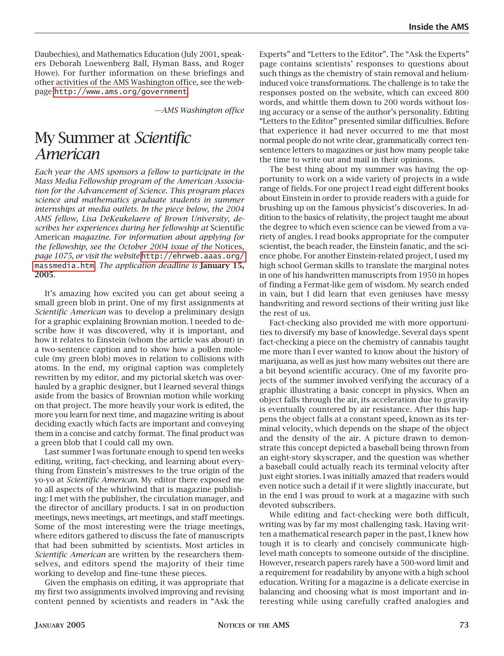Daubechies), and Mathematics Education (July 2001, speakers Deborah Loewenberg Ball, Hyman Bass, and Roger Howe). For further information on these briefings and other activities of the AMS Washington office, see the webpage <http://www.ams.org/government>.

*—AMS Washington office*

### My Summer at *Scientific American*

*Each year the AMS sponsors a fellow to participate in the Mass Media Fellowship program of the American Association for the Advancement of Science. This program places science and mathematics graduate students in summer internships at media outlets. In the piece below, the 2004 AMS fellow, Lisa DeKeukelaere of Brown University, describes her experiences during her fellowship at* Scientific American *magazine. For information about applying for the fellowship, see the October 2004 issue of the* Notices, *page 1075, or visit the website* [http://ehrweb.aaas.org/](http://ehrweb.aaas.org/massmedia.htm) [massmedia.htm](http://ehrweb.aaas.org/massmedia.htm). *The application deadline is* **January 15, 2005**.

It's amazing how excited you can get about seeing a small green blob in print. One of my first assignments at *Scientific American* was to develop a preliminary design for a graphic explaining Brownian motion. I needed to describe how it was discovered, why it is important, and how it relates to Einstein (whom the article was about) in a two-sentence caption and to show how a pollen molecule (my green blob) moves in relation to collisions with atoms. In the end, my original caption was completely rewritten by my editor, and my pictorial sketch was overhauled by a graphic designer, but I learned several things aside from the basics of Brownian motion while working on that project. The more heavily your work is edited, the more you learn for next time, and magazine writing is about deciding exactly which facts are important and conveying them in a concise and catchy format. The final product was a green blob that I could call my own.

Last summer I was fortunate enough to spend ten weeks editing, writing, fact-checking, and learning about everything from Einstein's mistresses to the true origin of the yo-yo at *Scientific American*. My editor there exposed me to all aspects of the whirlwind that is magazine publishing: I met with the publisher, the circulation manager, and the director of ancillary products. I sat in on production meetings, news meetings, art meetings, and staff meetings. Some of the most interesting were the triage meetings, where editors gathered to discuss the fate of manuscripts that had been submitted by scientists. Most articles in *Scientific American* are written by the researchers themselves, and editors spend the majority of their time working to develop and fine-tune these pieces.

Given the emphasis on editing, it was appropriate that my first two assignments involved improving and revising content penned by scientists and readers in "Ask the

Experts" and "Letters to the Editor". The "Ask the Experts" page contains scientists' responses to questions about such things as the chemistry of stain removal and heliuminduced voice transformations. The challenge is to take the responses posted on the website, which can exceed 800 words, and whittle them down to 200 words without losing accuracy or a sense of the author's personality. Editing "Letters to the Editor" presented similar difficulties. Before that experience it had never occurred to me that most normal people do not write clear, grammatically correct tensentence letters to magazines or just how many people take the time to write out and mail in their opinions.

The best thing about my summer was having the opportunity to work on a wide variety of projects in a wide range of fields. For one project I read eight different books about Einstein in order to provide readers with a guide for brushing up on the famous physicist's discoveries. In addition to the basics of relativity, the project taught me about the degree to which even science can be viewed from a variety of angles. I read books appropriate for the computer scientist, the beach reader, the Einstein fanatic, and the science phobe. For another Einstein-related project, I used my high school German skills to translate the marginal notes in one of his handwritten manuscripts from 1950 in hopes of finding a Fermat-like gem of wisdom. My search ended in vain, but I did learn that even geniuses have messy handwriting and reword sections of their writing just like the rest of us.

Fact-checking also provided me with more opportunities to diversify my base of knowledge. Several days spent fact-checking a piece on the chemistry of cannabis taught me more than I ever wanted to know about the history of marijuana, as well as just how many websites out there are a bit beyond scientific accuracy. One of my favorite projects of the summer involved verifying the accuracy of a graphic illustrating a basic concept in physics. When an object falls through the air, its acceleration due to gravity is eventually countered by air resistance. After this happens the object falls at a constant speed, known as its terminal velocity, which depends on the shape of the object and the density of the air. A picture drawn to demonstrate this concept depicted a baseball being thrown from an eight-story skyscraper, and the question was whether a baseball could actually reach its terminal velocity after just eight stories. I was initially amazed that readers would even notice such a detail if it were slightly inaccurate, but in the end I was proud to work at a magazine with such devoted subscribers.

While editing and fact-checking were both difficult, writing was by far my most challenging task. Having written a mathematical research paper in the past, I knew how tough it is to clearly and concisely communicate highlevel math concepts to someone outside of the discipline. However, research papers rarely have a 500-word limit and a requirement for readability by anyone with a high school education. Writing for a magazine is a delicate exercise in balancing and choosing what is most important and interesting while using carefully crafted analogies and